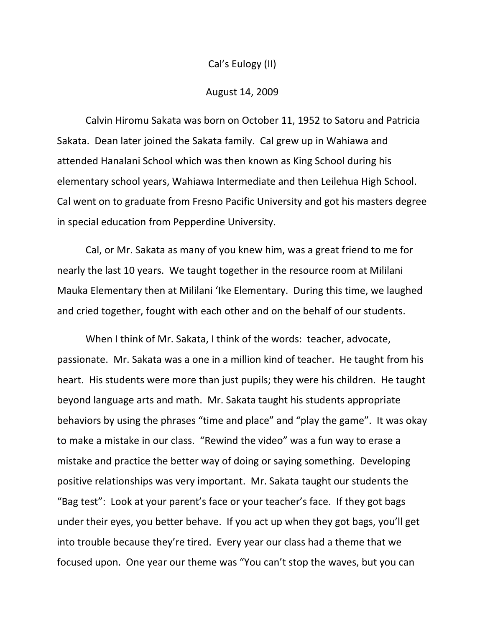## Cal's Eulogy (II)

## August 14, 2009

Calvin Hiromu Sakata was born on October 11, 1952 to Satoru and Patricia Sakata. Dean later joined the Sakata family. Cal grew up in Wahiawa and attended Hanalani School which was then known as King School during his elementary school years, Wahiawa Intermediate and then Leilehua High School. Cal went on to graduate from Fresno Pacific University and got his masters degree in special education from Pepperdine University.

Cal, or Mr. Sakata as many of you knew him, was a great friend to me for nearly the last 10 years. We taught together in the resource room at Mililani Mauka Elementary then at Mililani 'Ike Elementary. During this time, we laughed and cried together, fought with each other and on the behalf of our students.

When I think of Mr. Sakata, I think of the words: teacher, advocate, passionate. Mr. Sakata was a one in a million kind of teacher. He taught from his heart. His students were more than just pupils; they were his children. He taught beyond language arts and math. Mr. Sakata taught his students appropriate behaviors by using the phrases "time and place" and "play the game". It was okay to make a mistake in our class. "Rewind the video" was a fun way to erase a mistake and practice the better way of doing or saying something. Developing positive relationships was very important. Mr. Sakata taught our students the "Bag test": Look at your parent's face or your teacher's face. If they got bags under their eyes, you better behave. If you act up when they got bags, you'll get into trouble because they're tired. Every year our class had a theme that we focused upon. One year our theme was "You can't stop the waves, but you can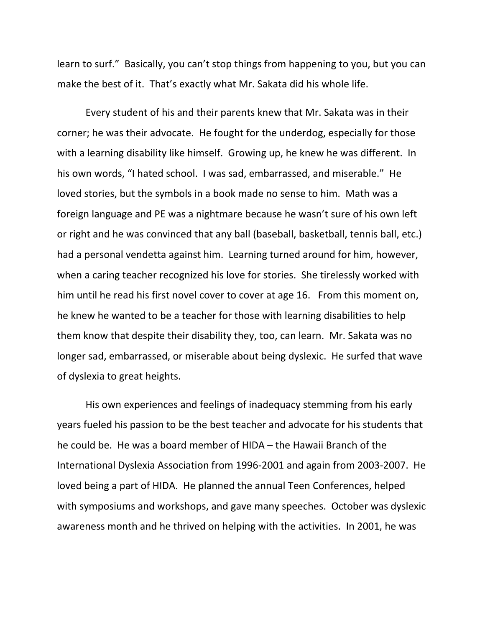learn to surf." Basically, you can't stop things from happening to you, but you can make the best of it. That's exactly what Mr. Sakata did his whole life.

Every student of his and their parents knew that Mr. Sakata was in their corner; he was their advocate. He fought for the underdog, especially for those with a learning disability like himself. Growing up, he knew he was different. In his own words, "I hated school. I was sad, embarrassed, and miserable." He loved stories, but the symbols in a book made no sense to him. Math was a foreign language and PE was a nightmare because he wasn't sure of his own left or right and he was convinced that any ball (baseball, basketball, tennis ball, etc.) had a personal vendetta against him. Learning turned around for him, however, when a caring teacher recognized his love for stories. She tirelessly worked with him until he read his first novel cover to cover at age 16. From this moment on, he knew he wanted to be a teacher for those with learning disabilities to help them know that despite their disability they, too, can learn. Mr. Sakata was no longer sad, embarrassed, or miserable about being dyslexic. He surfed that wave of dyslexia to great heights.

His own experiences and feelings of inadequacy stemming from his early years fueled his passion to be the best teacher and advocate for his students that he could be. He was a board member of HIDA – the Hawaii Branch of the International Dyslexia Association from 1996‐2001 and again from 2003‐2007. He loved being a part of HIDA. He planned the annual Teen Conferences, helped with symposiums and workshops, and gave many speeches. October was dyslexic awareness month and he thrived on helping with the activities. In 2001, he was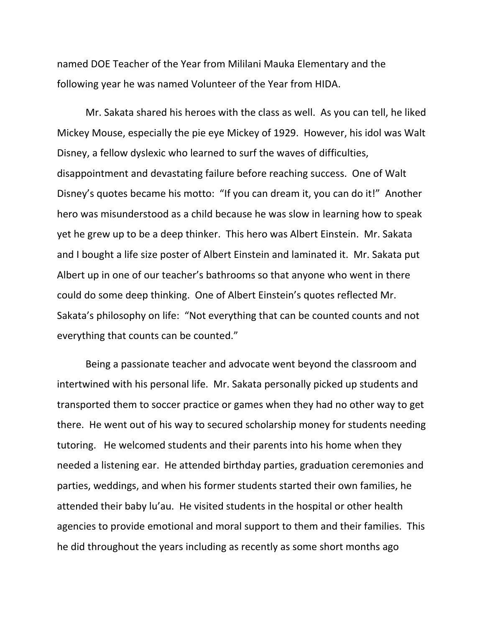named DOE Teacher of the Year from Mililani Mauka Elementary and the following year he was named Volunteer of the Year from HIDA.

Mr. Sakata shared his heroes with the class as well. As you can tell, he liked Mickey Mouse, especially the pie eye Mickey of 1929. However, his idol was Walt Disney, a fellow dyslexic who learned to surf the waves of difficulties, disappointment and devastating failure before reaching success. One of Walt Disney's quotes became his motto: "If you can dream it, you can do it!" Another hero was misunderstood as a child because he was slow in learning how to speak yet he grew up to be a deep thinker. This hero was Albert Einstein. Mr. Sakata and I bought a life size poster of Albert Einstein and laminated it. Mr. Sakata put Albert up in one of our teacher's bathrooms so that anyone who went in there could do some deep thinking. One of Albert Einstein's quotes reflected Mr. Sakata's philosophy on life: "Not everything that can be counted counts and not everything that counts can be counted."

Being a passionate teacher and advocate went beyond the classroom and intertwined with his personal life. Mr. Sakata personally picked up students and transported them to soccer practice or games when they had no other way to get there. He went out of his way to secured scholarship money for students needing tutoring. He welcomed students and their parents into his home when they needed a listening ear. He attended birthday parties, graduation ceremonies and parties, weddings, and when his former students started their own families, he attended their baby lu'au. He visited students in the hospital or other health agencies to provide emotional and moral support to them and their families. This he did throughout the years including as recently as some short months ago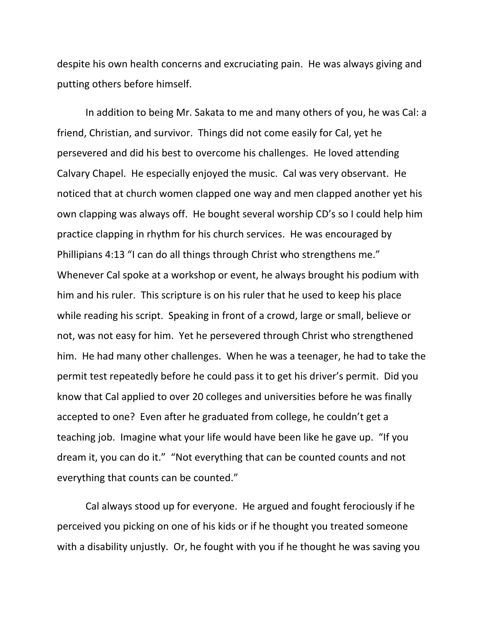despite his own health concerns and excruciating pain. He was always giving and putting others before himself.

In addition to being Mr. Sakata to me and many others of you, he was Cal: a friend, Christian, and survivor. Things did not come easily for Cal, yet he persevered and did his best to overcome his challenges. He loved attending Calvary Chapel. He especially enjoyed the music. Cal was very observant. He noticed that at church women clapped one way and men clapped another yet his own clapping was always off. He bought several worship CD's so I could help him practice clapping in rhythm for his church services. He was encouraged by Phillipians 4:13 "I can do all things through Christ who strengthens me." Whenever Cal spoke at a workshop or event, he always brought his podium with him and his ruler. This scripture is on his ruler that he used to keep his place while reading his script. Speaking in front of a crowd, large or small, believe or not, was not easy for him. Yet he persevered through Christ who strengthened him. He had many other challenges. When he was a teenager, he had to take the permit test repeatedly before he could pass it to get his driver's permit. Did you know that Cal applied to over 20 colleges and universities before he was finally accepted to one? Even after he graduated from college, he couldn't get a teaching job. Imagine what your life would have been like he gave up. "If you dream it, you can do it." "Not everything that can be counted counts and not everything that counts can be counted."

Cal always stood up for everyone. He argued and fought ferociously if he perceived you picking on one of his kids or if he thought you treated someone with a disability unjustly. Or, he fought with you if he thought he was saving you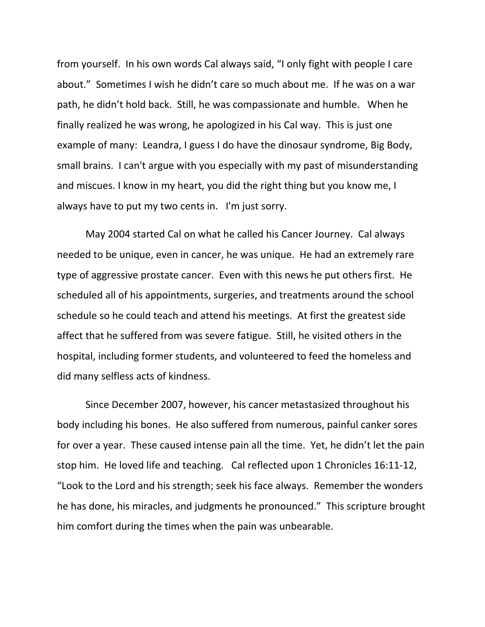from yourself. In his own words Cal always said, "I only fight with people I care about." Sometimes I wish he didn't care so much about me. If he was on a war path, he didn't hold back. Still, he was compassionate and humble. When he finally realized he was wrong, he apologized in his Cal way. This is just one example of many: Leandra, I guess I do have the dinosaur syndrome, Big Body, small brains. I can't argue with you especially with my past of misunderstanding and miscues. I know in my heart, you did the right thing but you know me, I always have to put my two cents in. I'm just sorry.

May 2004 started Cal on what he called his Cancer Journey. Cal always needed to be unique, even in cancer, he was unique. He had an extremely rare type of aggressive prostate cancer. Even with this news he put others first. He scheduled all of his appointments, surgeries, and treatments around the school schedule so he could teach and attend his meetings. At first the greatest side affect that he suffered from was severe fatigue. Still, he visited others in the hospital, including former students, and volunteered to feed the homeless and did many selfless acts of kindness.

Since December 2007, however, his cancer metastasized throughout his body including his bones. He also suffered from numerous, painful canker sores for over a year. These caused intense pain all the time. Yet, he didn't let the pain stop him. He loved life and teaching. Cal reflected upon 1 Chronicles 16:11‐12, "Look to the Lord and his strength; seek his face always. Remember the wonders he has done, his miracles, and judgments he pronounced." This scripture brought him comfort during the times when the pain was unbearable.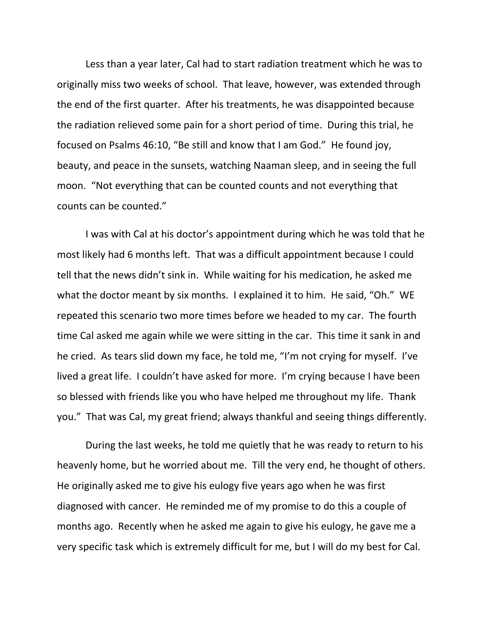Less than a year later, Cal had to start radiation treatment which he was to originally miss two weeks of school. That leave, however, was extended through the end of the first quarter. After his treatments, he was disappointed because the radiation relieved some pain for a short period of time. During this trial, he focused on Psalms 46:10, "Be still and know that I am God." He found joy, beauty, and peace in the sunsets, watching Naaman sleep, and in seeing the full moon. "Not everything that can be counted counts and not everything that counts can be counted."

I was with Cal at his doctor's appointment during which he was told that he most likely had 6 months left. That was a difficult appointment because I could tell that the news didn't sink in. While waiting for his medication, he asked me what the doctor meant by six months. I explained it to him. He said, "Oh." WE repeated this scenario two more times before we headed to my car. The fourth time Cal asked me again while we were sitting in the car. This time it sank in and he cried. As tears slid down my face, he told me, "I'm not crying for myself. I've lived a great life. I couldn't have asked for more. I'm crying because I have been so blessed with friends like you who have helped me throughout my life. Thank you." That was Cal, my great friend; always thankful and seeing things differently.

During the last weeks, he told me quietly that he was ready to return to his heavenly home, but he worried about me. Till the very end, he thought of others. He originally asked me to give his eulogy five years ago when he was first diagnosed with cancer. He reminded me of my promise to do this a couple of months ago. Recently when he asked me again to give his eulogy, he gave me a very specific task which is extremely difficult for me, but I will do my best for Cal.